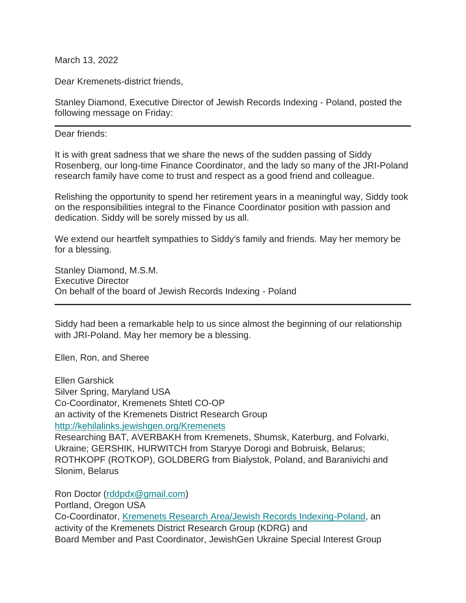March 13, 2022

Dear Kremenets-district friends,

Stanley Diamond, Executive Director of Jewish Records Indexing - Poland, posted the following message on Friday:

Dear friends:

It is with great sadness that we share the news of the sudden passing of Siddy Rosenberg, our long-time Finance Coordinator, and the lady so many of the JRI-Poland research family have come to trust and respect as a good friend and colleague.

Relishing the opportunity to spend her retirement years in a meaningful way, Siddy took on the responsibilities integral to the Finance Coordinator position with passion and dedication. Siddy will be sorely missed by us all.

We extend our heartfelt sympathies to Siddy's family and friends. May her memory be for a blessing.

Stanley Diamond, M.S.M. Executive Director On behalf of the board of Jewish Records Indexing - Poland

Siddy had been a remarkable help to us since almost the beginning of our relationship with JRI-Poland. May her memory be a blessing.

Ellen, Ron, and Sheree

Ellen Garshick Silver Spring, Maryland USA Co-Coordinator, Kremenets Shtetl CO-OP an activity of the Kremenets District Research Group <http://kehilalinks.jewishgen.org/Kremenets> Researching BAT, AVERBAKH from Kremenets, Shumsk, Katerburg, and Folvarki, Ukraine; GERSHIK, HURWITCH from Staryye Dorogi and Bobruisk, Belarus; ROTHKOPF (ROTKOP), GOLDBERG from Bialystok, Poland, and Baranivichi and Slonim, Belarus

Ron Doctor [\(rddpdx@gmail.com\)](mailto:rddpdx@gmail.com)

Portland, Oregon USA

Co-Coordinator, [Kremenets Research Area/Jewish Records Indexing-Poland,](http://kehilalinks.jewishgen.org/Kremenets) an activity of the Kremenets District Research Group (KDRG) and Board Member and Past Coordinator, JewishGen Ukraine Special Interest Group